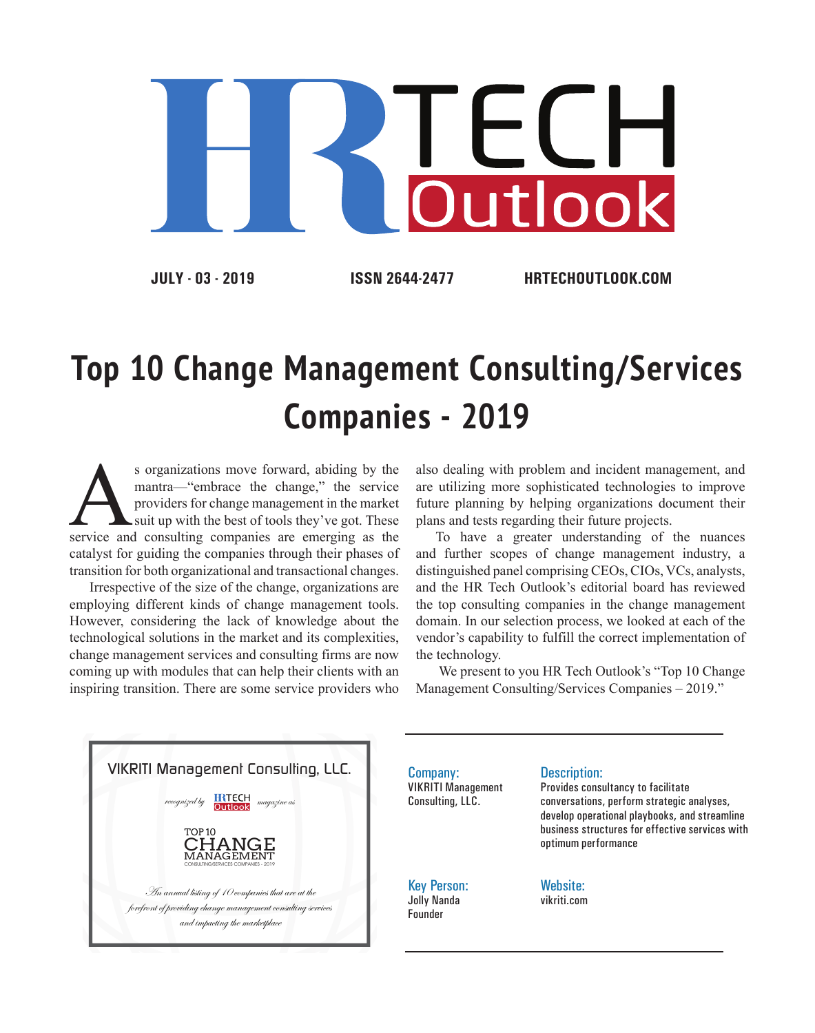

**JULY - 03 - 2019 ISSN 2644-2477 HRTECHOUTLOOK.COM**

## **Top 10 Change Management Consulting/Services Companies - 2019**

s organizations move forward, abiding by the mantra—"embrace the change," the service providers for change management in the market suit up with the best of tools they've got. These service and consulting companies are eme mantra—"embrace the change," the service providers for change management in the market suit up with the best of tools they've got. These catalyst for guiding the companies through their phases of transition for both organizational and transactional changes.

Irrespective of the size of the change, organizations are employing different kinds of change management tools. However, considering the lack of knowledge about the technological solutions in the market and its complexities, change management services and consulting firms are now coming up with modules that can help their clients with an inspiring transition. There are some service providers who also dealing with problem and incident management, and are utilizing more sophisticated technologies to improve future planning by helping organizations document their plans and tests regarding their future projects.

To have a greater understanding of the nuances and further scopes of change management industry, a distinguished panel comprising CEOs, CIOs, VCs, analysts, and the HR Tech Outlook's editorial board has reviewed the top consulting companies in the change management domain. In our selection process, we looked at each of the vendor's capability to fulfill the correct implementation of the technology.

 We present to you HR Tech Outlook's "Top 10 Change Management Consulting/Services Companies – 2019."

VIKRITI Management Consulting, LLC. An annual listing of 10 companies that are at the forefront of providing change management consulting services and impacting the marketplace  $RTECH$  magazine as TOP 10 CHANGE **MANAGEMENT** CONSULTING/SERVICES COMPANIES - 2019

Company: VIKRITI Management Consulting, LLC.

Key Person: Jolly Nanda Founder

## Description:

Provides consultancy to facilitate conversations, perform strategic analyses, develop operational playbooks, and streamline business structures for effective services with optimum performance

Website: vikriti.com